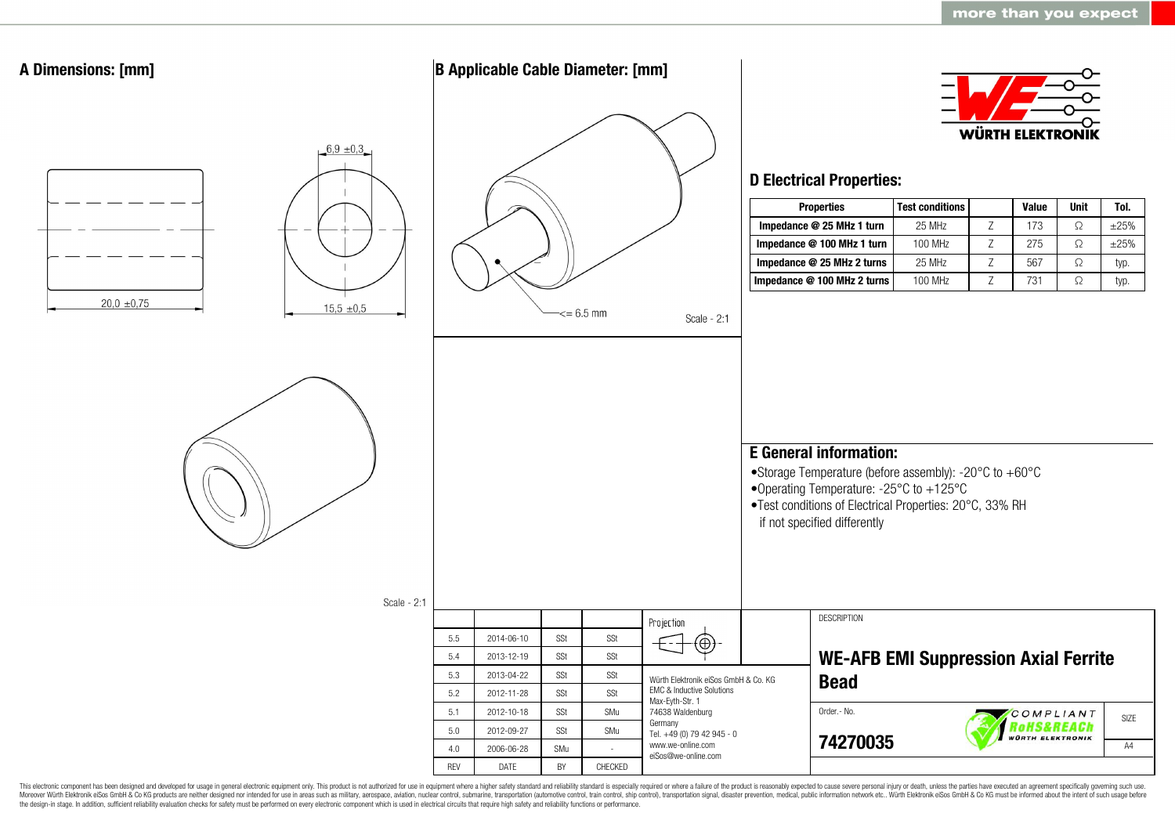

This electronic component has been designed and developed for usage in general electronic equipment only. This product is not authorized for use in equipment where a higher safety standard and reliability standard is espec Moreover Würth Elektronik eiSos GmbH & Co KG products are neither designed nor intended for use in areas such as military, aerospace, aviation, nuclear control, submarine, transportation (automotive control, ship control), the design-in stage. In addition, sufficient reliability evaluation checks for safety must be performed on every electronic component which is used in electrical circuits that require high safety and reliability functions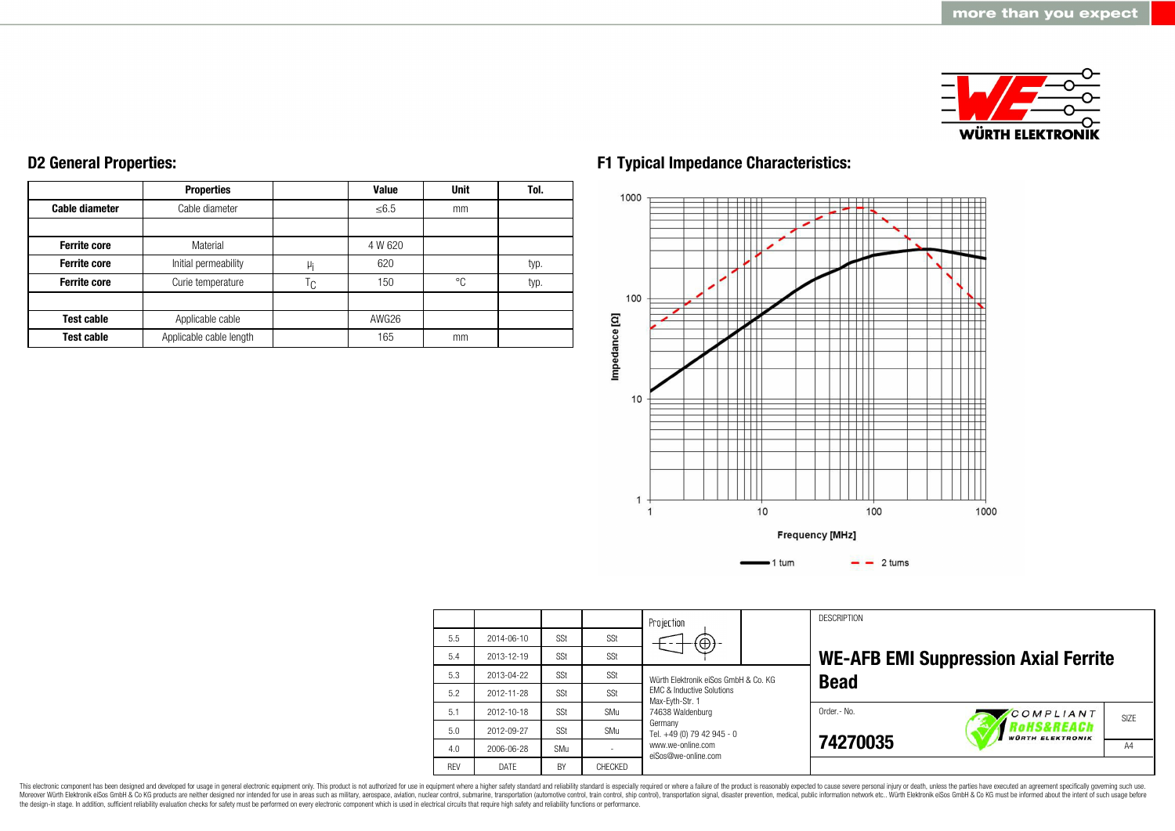

|                       | <b>Properties</b>       |    | <b>Value</b> | <b>Unit</b> | Tol. |
|-----------------------|-------------------------|----|--------------|-------------|------|
| <b>Cable diameter</b> | Cable diameter          |    | $≤ 6.5$      | mm          |      |
|                       |                         |    |              |             |      |
| <b>Ferrite core</b>   | Material                |    | 4 W 620      |             |      |
| <b>Ferrite core</b>   | Initial permeability    | μi | 620          |             | typ. |
| <b>Ferrite core</b>   | Curie temperature       |    | 150          | °C          | typ. |
|                       |                         |    |              |             |      |
| <b>Test cable</b>     | Applicable cable        |    | AWG26        |             |      |
| <b>Test cable</b>     | Applicable cable length |    | 165          | mm          |      |

# **D2 General Properties:**

## **F1 Typical Impedance Characteristics:**



|            |            |           |                | Projection                                              |  | <b>DESCRIPTION</b> |                                                 |                   |
|------------|------------|-----------|----------------|---------------------------------------------------------|--|--------------------|-------------------------------------------------|-------------------|
| 5.5        | 2014-06-10 | SSt       | SSt            | $\bigoplus$                                             |  |                    |                                                 |                   |
| 5.4        | 2013-12-19 | SSt       | SSt            |                                                         |  |                    | <b>WE-AFB EMI Suppression Axial Ferrite</b>     |                   |
| 5.3        | 2013-04-22 | SSt       | SSt            | Würth Flektronik eiSos GmbH & Co. KG                    |  | <b>Bead</b>        |                                                 |                   |
| 5.2        | 2012-11-28 | SSt       | SSt            | <b>EMC &amp; Inductive Solutions</b><br>Max-Eyth-Str. 1 |  |                    |                                                 |                   |
| 5.1        | 2012-10-18 | SSt       | SMu            | 74638 Waldenburg                                        |  | Order .- No.       | COMPLIANT                                       | SI <sub>7</sub> F |
| 5.0        | 2012-09-27 | SSt       | SMu            | Germany<br>Tel. +49 (0) 79 42 945 - 0                   |  |                    | <b>OHS&amp;REACh</b><br><b>WÜRTH ELEKTRONIK</b> |                   |
| 4.0        | 2006-06-28 | SMu       |                | www.we-online.com<br>eiSos@we-online.com                |  | 74270035           |                                                 | A4                |
| <b>RFV</b> | DATF       | <b>BY</b> | <b>CHFCKFD</b> |                                                         |  |                    |                                                 |                   |

This electronic component has been designed and developed for usage in general electronic equipment only. This product is not authorized for use in equipment where a higher safety standard and reliability standard is espec Moreover Würth Elektronik eiSos GmbH & Co KG products are neither designed nor intended for use in areas such as military, aerospace, aviation, nuclear control, submarine, transportation (automotive control), stain control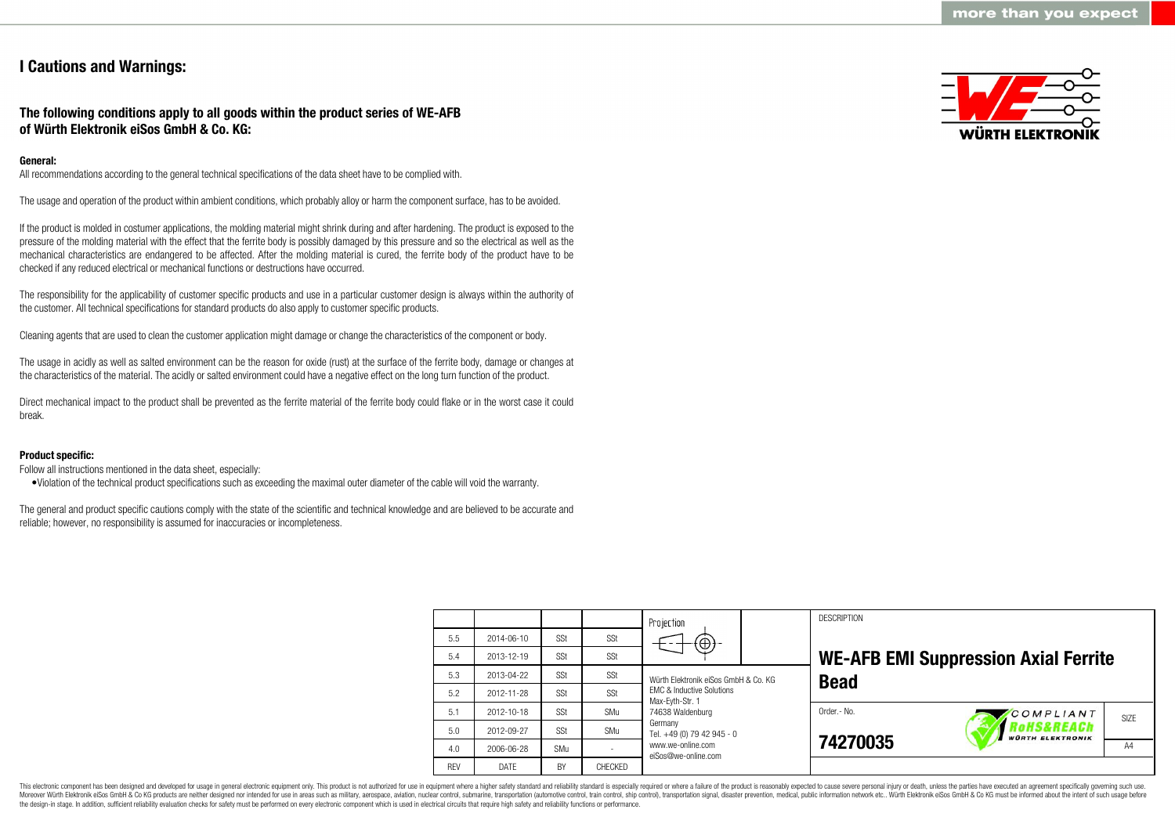### **I Cautions and Warnings:**

### **The following conditions apply to all goods within the product series of WE-AFB of Würth Elektronik eiSos GmbH & Co. KG:**

#### **General:**

All recommendations according to the general technical specifications of the data sheet have to be complied with.

The usage and operation of the product within ambient conditions, which probably alloy or harm the component surface, has to be avoided.

If the product is molded in costumer applications, the molding material might shrink during and after hardening. The product is exposed to the pressure of the molding material with the effect that the ferrite body is possibly damaged by this pressure and so the electrical as well as the mechanical characteristics are endangered to be affected. After the molding material is cured, the ferrite body of the product have to be checked if any reduced electrical or mechanical functions or destructions have occurred.

The responsibility for the applicability of customer specific products and use in a particular customer design is always within the authority of the customer. All technical specifications for standard products do also apply to customer specific products.

Cleaning agents that are used to clean the customer application might damage or change the characteristics of the component or body.

The usage in acidly as well as salted environment can be the reason for oxide (rust) at the surface of the ferrite body, damage or changes at the characteristics of the material. The acidly or salted environment could have a negative effect on the long turn function of the product.

Direct mechanical impact to the product shall be prevented as the ferrite material of the ferrite body could flake or in the worst case it could break.

#### **Product specific:**

Follow all instructions mentioned in the data sheet, especially:

•Violation of the technical product specifications such as exceeding the maximal outer diameter of the cable will void the warranty.

The general and product specific cautions comply with the state of the scientific and technical knowledge and are believed to be accurate and reliable; however, no responsibility is assumed for inaccuracies or incompleteness.



|            |            |            |         | Projection                                                                                                                                                       |  | <b>DESCRIPTION</b> |                                             |                   |  |
|------------|------------|------------|---------|------------------------------------------------------------------------------------------------------------------------------------------------------------------|--|--------------------|---------------------------------------------|-------------------|--|
| 5.5        | 2014-06-10 | SSt        | SSt     | $(\bigoplus)$                                                                                                                                                    |  |                    |                                             |                   |  |
| 5.4        | 2013-12-19 | SSt        | SSt     |                                                                                                                                                                  |  |                    | <b>WE-AFB EMI Suppression Axial Ferrite</b> |                   |  |
| 5.3        | 2013-04-22 | SSt        | SSt     | Würth Elektronik eiSos GmbH & Co. KG                                                                                                                             |  | <b>Bead</b>        |                                             |                   |  |
| 5.2        | 2012-11-28 | SSt        | SSt     | <b>FMC &amp; Inductive Solutions</b><br>Max-Evth-Str. 1<br>74638 Waldenburg<br>Germany<br>Tel. +49 (0) 79 42 945 - 0<br>www.we-online.com<br>eiSos@we-online.com |  |                    |                                             |                   |  |
| 5.1        | 2012-10-18 | SSt        | SMu     |                                                                                                                                                                  |  | Order .- No.       | COMPLIANT                                   | SI <sub>7</sub> F |  |
| 5.0        | 2012-09-27 | SSt        | SMu     |                                                                                                                                                                  |  |                    | oHS&REACh<br><b>WÜRTH ELEKTRONIK</b>        |                   |  |
| 4.0        | 2006-06-28 | <b>SMu</b> |         |                                                                                                                                                                  |  | 74270035           |                                             | A4                |  |
| <b>RFV</b> | DATE       | <b>BY</b>  | CHECKED |                                                                                                                                                                  |  |                    |                                             |                   |  |

This electronic component has been designed and developed for usage in general electronic equipment only. This product is not authorized for use in equipment where a higher safety standard and reliability standard is espec Moreover Würth Elektronik eiSos GmbH & Co KG products are neither designed nor intended for use in areas such as military, aerospace, aviation, nuclear control, submarine, transportation (automotive control), tain control) the design-in stage. In addition, sufficient reliability evaluation checks for safety must be performed on every electronic component which is used in electrical circuits that require high safety and reliability functions